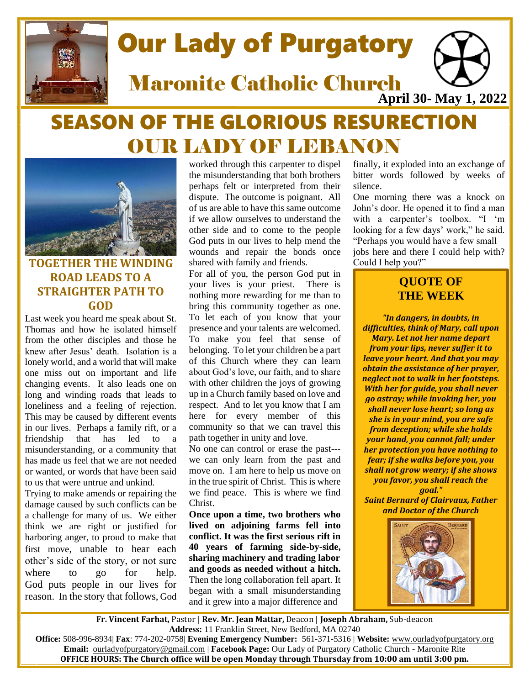

# Our Lady of Purgatory

**April 30- May 1, 2022** Maronite Catholic Church

# SEASON OF THE GLORIOUS RESURECTION OUR LADY OF LEBANON



# **TOGETHER THE WINDING ROAD LEADS TO A STRAIGHTER PATH TO GOD**

Last week you heard me speak about St. Thomas and how he isolated himself from the other disciples and those he knew after Jesus' death. Isolation is a lonely world, and a world that will make one miss out on important and life changing events. It also leads one on long and winding roads that leads to loneliness and a feeling of rejection. This may be caused by different events in our lives. Perhaps a family rift, or a friendship that has led to a misunderstanding, or a community that has made us feel that we are not needed or wanted, or words that have been said to us that were untrue and unkind.

Trying to make amends or repairing the damage caused by such conflicts can be a challenge for many of us. We either think we are right or justified for harboring anger, to proud to make that first move, unable to hear each other's side of the story, or not sure where to go for help. God puts people in our lives for reason. In the story that follows, God

worked through this carpenter to dispel the misunderstanding that both brothers perhaps felt or interpreted from their dispute. The outcome is poignant. All of us are able to have this same outcome if we allow ourselves to understand the other side and to come to the people God puts in our lives to help mend the wounds and repair the bonds once shared with family and friends.

For all of you, the person God put in your lives is your priest. There is nothing more rewarding for me than to bring this community together as one. To let each of you know that your presence and your talents are welcomed. To make you feel that sense of belonging. To let your children be a part of this Church where they can learn about God's love, our faith, and to share with other children the joys of growing up in a Church family based on love and respect. And to let you know that I am here for every member of this community so that we can travel this path together in unity and love.

No one can control or erase the past-- we can only learn from the past and move on. I am here to help us move on in the true spirit of Christ. This is where we find peace. This is where we find Christ.

**Once upon a time, two brothers who lived on adjoining farms fell into conflict. It was the first serious rift in 40 years of farming side-by-side, sharing machinery and trading labor and goods as needed without a hitch.** Then the long collaboration fell apart. It began with a small misunderstanding and it grew into a major difference and

finally, it exploded into an exchange of bitter words followed by weeks of silence.

One morning there was a knock on John's door. He opened it to find a man with a carpenter's toolbox. "I 'm looking for a few days' work," he said. "Perhaps you would have a few small jobs here and there I could help with? Could I help you?"

# **QUOTE OF THE WEEK**

*"In dangers, in doubts, in difficulties, think of Mary, call upon Mary. Let not her name depart from your lips, never suffer it to leave your heart. And that you may obtain the assistance of her prayer, neglect not to walk in her footsteps. With her for guide, you shall never go astray; while invoking her, you shall never lose heart; so long as she is in your mind, you are safe from deception; while she holds your hand, you cannot fall; under her protection you have nothing to fear; if she walks before you, you shall not grow weary; if she shows you favor, you shall reach the goal."*

*Saint Bernard of Clairvaux, Father and Doctor of the Church*



 **Fr. Vincent Farhat,** Pastor | **Rev. Mr. Jean Mattar,** Deacon | **Joseph Abraham,** Sub-deacon **Address:** 11 Franklin Street, New Bedford, MA 02740

 **Office:** 508-996-8934| **Fax**: 774-202-0758| **Evening Emergency Number:** 561-371-5316 | **Website:** [www.ourladyofpurgatory.org](http://www.ourladyofpurgatory.org/) **Email:** [ourladyofpurgatory@gmail.com](mailto:ourladyofpurgatory@verizon.net) | **Facebook Page:** Our Lady of Purgatory Catholic Church - Maronite Rite **OFFICE HOURS: The Church office will be open Monday through Thursday from 10:00 am until 3:00 pm.**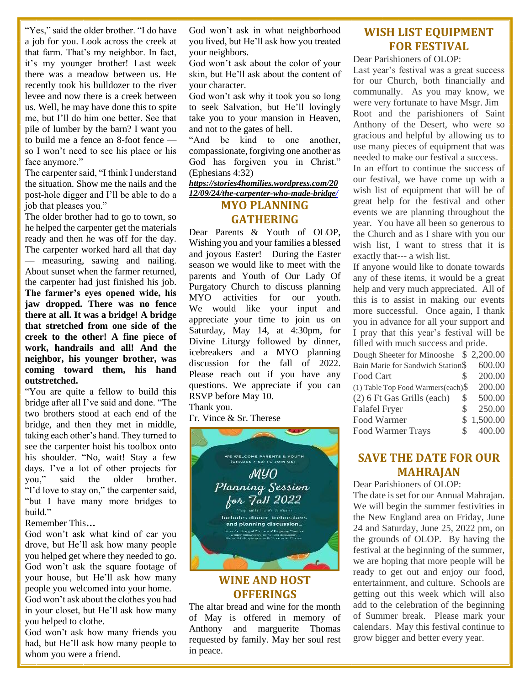"Yes," said the older brother. "I do have a job for you. Look across the creek at that farm. That's my neighbor. In fact, it's my younger brother! Last week there was a meadow between us. He recently took his bulldozer to the river levee and now there is a creek between us. Well, he may have done this to spite me, but I'll do him one better. See that pile of lumber by the barn? I want you to build me a fence an 8-foot fence so I won't need to see his place or his face anymore."

The carpenter said, "I think I understand the situation. Show me the nails and the post-hole digger and I'll be able to do a job that pleases you."

The older brother had to go to town, so he helped the carpenter get the materials ready and then he was off for the day. The carpenter worked hard all that day — measuring, sawing and nailing. About sunset when the farmer returned, the carpenter had just finished his job. **The farmer's eyes opened wide, his jaw dropped. There was no fence there at all. It was a bridge! A bridge that stretched from one side of the creek to the other! A fine piece of work, handrails and all! And the neighbor, his younger brother, was coming toward them, his hand outstretched.**

"You are quite a fellow to build this bridge after all I've said and done. "The two brothers stood at each end of the bridge, and then they met in middle, taking each other's hand. They turned to see the carpenter hoist his toolbox onto his shoulder. "No, wait! Stay a few days. I've a lot of other projects for you," said the older brother. "I'd love to stay on," the carpenter said, "but I have many more bridges to build."

#### Remember This**…**

God won't ask what kind of car you drove, but He'll ask how many people you helped get where they needed to go. God won't ask the square footage of your house, but He'll ask how many people you welcomed into your home.

God won't ask about the clothes you had in your closet, but He'll ask how many you helped to clothe.

God won't ask how many friends you had, but He'll ask how many people to whom you were a friend.

God won't ask in what neighborhood you lived, but He'll ask how you treated your neighbors.

God won't ask about the color of your skin, but He'll ask about the content of your character.

God won't ask why it took you so long to seek Salvation, but He'll lovingly take you to your mansion in Heaven, and not to the gates of hell.

"And be kind to one another, compassionate, forgiving one another as God has forgiven you in Christ." (Ephesians 4:32)

#### *[https://stories4homilies.wordpress.com/20](https://stories4homilies.wordpress.com/2012/09/24/the-carpenter-who-made-a-bridge/) [12/09/24/the-carpenter-who-made-bridge/](https://stories4homilies.wordpress.com/2012/09/24/the-carpenter-who-made-a-bridge/)*

#### **MYO PLANNING GATHERING**

Dear Parents & Youth of OLOP, Wishing you and your families a blessed and joyous Easter! During the Easter season we would like to meet with the parents and Youth of Our Lady Of Purgatory Church to discuss planning MYO activities for our youth. We would like your input and appreciate your time to join us on Saturday, May 14, at 4:30pm, for Divine Liturgy followed by dinner, icebreakers and a MYO planning discussion for the fall of 2022. Please reach out if you have any questions. We appreciate if you can RSVP before May 10.

Thank you.

Fr. Vince & Sr. Therese



## **WINE AND HOST OFFERINGS**

The altar bread and wine for the month of May is offered in memory of Anthony and marguerite Thomas requested by family. May her soul rest in peace.

# **WISH LIST EQUIPMENT FOR FESTIVAL**

Dear Parishioners of OLOP:

Last year's festival was a great success for our Church, both financially and communally. As you may know, we were very fortunate to have Msgr. Jim Root and the parishioners of Saint Anthony of the Desert, who were so gracious and helpful by allowing us to use many pieces of equipment that was needed to make our festival a success.

In an effort to continue the success of our festival, we have come up with a wish list of equipment that will be of great help for the festival and other events we are planning throughout the year. You have all been so generous to the Church and as I share with you our wish list, I want to stress that it is exactly that--- a wish list.

If anyone would like to donate towards any of these items, it would be a great help and very much appreciated. All of this is to assist in making our events more successful. Once again, I thank you in advance for all your support and I pray that this year's festival will be filled with much success and pride.

| Dough Sheeter for Minooshe \$2,200.00  |   |            |
|----------------------------------------|---|------------|
| Bain Marie for Sandwich Station\$      |   | 600.00     |
| Food Cart                              | S | 200.00     |
| $(1)$ Table Top Food Warmers(each) $\$ |   | 200.00     |
| (2) 6 Ft Gas Grills (each)             | S | 500.00     |
| <b>Falafel Fryer</b>                   | S | 250.00     |
| Food Warmer                            |   | \$1,500.00 |
| Food Warmer Trays                      |   | 400.00     |

# **SAVE THE DATE FOR OUR MAHRAJAN**

Dear Parishioners of OLOP:

The date is set for our Annual Mahrajan. We will begin the summer festivities in the New England area on Friday, June 24 and Saturday, June 25, 2022 pm, on the grounds of OLOP. By having the festival at the beginning of the summer, we are hoping that more people will be ready to get out and enjoy our food, entertainment, and culture. Schools are getting out this week which will also add to the celebration of the beginning of Summer break. Please mark your calendars. May this festival continue to grow bigger and better every year.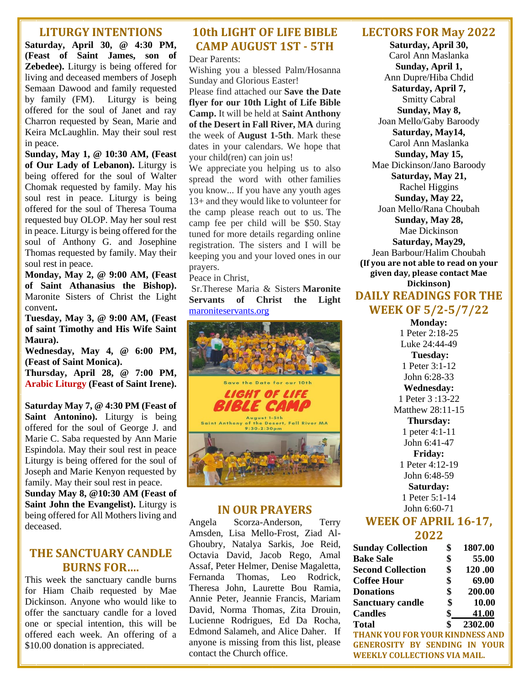#### **LITURGY INTENTIONS**

**Saturday, April 30, @ 4:30 PM, (Feast of Saint James, son of Zebedee).** Liturgy is being offered for living and deceased members of Joseph Semaan Dawood and family requested by family (FM). Liturgy is being offered for the soul of Janet and ray Charron requested by Sean, Marie and Keira McLaughlin. May their soul rest in peace.

**Sunday, May 1, @ 10:30 AM, (Feast of Our Lady of Lebanon).** Liturgy is being offered for the soul of Walter Chomak requested by family. May his soul rest in peace. Liturgy is being offered for the soul of Theresa Touma requested buy OLOP. May her soul rest in peace. Liturgy is being offered for the soul of Anthony G. and Josephine Thomas requested by family. May their soul rest in peace.

**Monday, May 2, @ 9:00 AM, (Feast of Saint Athanasius the Bishop).**  Maronite Sisters of Christ the Light convent**.**

**Tuesday, May 3, @ 9:00 AM, (Feast of saint Timothy and His Wife Saint Maura).**

**Wednesday, May 4, @ 6:00 PM, (Feast of Saint Monica).**

**Thursday, April 28, @ 7:00 PM, Arabic Liturgy (Feast of Saint Irene).**

**Saturday May 7, @ 4:30 PM (Feast of Saint Antonino).** Liturgy is being offered for the soul of George J. and Marie C. Saba requested by Ann Marie Espindola. May their soul rest in peace Liturgy is being offered for the soul of Joseph and Marie Kenyon requested by family. May their soul rest in peace. **Sunday May 8, @10:30 AM (Feast of Saint John the Evangelist).** Liturgy is being offered for All Mothers living and deceased.

# **THE SANCTUARY CANDLE BURNS FOR….**

This week the sanctuary candle burns for Hiam Chaib requested by Mae Dickinson. Anyone who would like to offer the sanctuary candle for a loved one or special intention, this will be offered each week. An offering of a \$10.00 donation is appreciated.

# **10th LIGHT OF LIFE BIBLE CAMP AUGUST 1ST - 5TH**

Dear Parents:

Wishing you a blessed Palm/Hosanna Sunday and Glorious Easter! Please find attached our **Save the Date** 

**flyer for our 10th Light of Life Bible Camp.** It will be held at **Saint Anthony of the Desert in Fall River, MA** during the week of **August 1-5th**. Mark these dates in your calendars. We hope that your child(ren) can join us!

We appreciate you helping us to also spread the word with other families you know... If you have any youth ages 13+ and they would like to volunteer for the camp please reach out to us. The camp fee per child will be \$50. Stay tuned for more details regarding online registration. The sisters and I will be keeping you and your loved ones in our prayers.

Peace in Christ,

Sr.Therese Maria & Sisters **Maronite Servants of Christ the Light** maroniteservants.org



## **IN OUR PRAYERS**

Angela Scorza-Anderson, Terry Amsden, Lisa Mello-Frost, Ziad Al-Ghoubry, Natalya Sarkis, Joe Reid, Octavia David, Jacob Rego, Amal Assaf, Peter Helmer, Denise Magaletta, Fernanda Thomas, Leo Rodrick, Theresa John, Laurette Bou Ramia, Annie Peter, Jeannie Francis, Mariam David, Norma Thomas, Zita Drouin, Lucienne Rodrigues, Ed Da Rocha, Edmond Salameh, and Alice Daher. If anyone is missing from this list, please contact the Church office.

#### **LECTORS FOR May 2022**

**Saturday, April 30,**  Carol Ann Maslanka **Sunday, April 1,**  Ann Dupre/Hiba Chdid **Saturday, April 7,**  Smitty Cabral **Sunday, May 8,**  Joan Mello/Gaby Baroody **Saturday, May14,**  Carol Ann Maslanka **Sunday, May 15,** Mae Dickinson/Jano Baroody **Saturday, May 21,**  Rachel Higgins **Sunday, May 22,**  Joan Mello/Rana Choubah **Sunday, May 28,**  Mae Dickinson **Saturday, May29,**  Jean Barbour/Halim Choubah **(If you are not able to read on your given day, please contact Mae Dickinson) DAILY READINGS FOR THE WEEK OF 5/2-5/7/22**

> **Monday:**  1 Peter 2:18-25 Luke 24:44-49 **Tuesday:**  1 Peter 3:1-12 John 6:28-33 **Wednesday:**  1 Peter 3 :13-22 Matthew 28:11-15 **Thursday:**  1 peter 4:1-11 John 6:41-47 **Friday:**  1 Peter 4:12-19 John 6:48-59 **Saturday:**  1 Peter 5:1-14 John 6:60-71

#### **WEEK OF APRIL 16-17, 2022**

| <b>Sunday Collection</b> | \$<br>1807.00 |
|--------------------------|---------------|
| <b>Bake Sale</b>         | \$<br>55.00   |
| <b>Second Collection</b> | \$<br>120.00  |
| <b>Coffee Hour</b>       | \$<br>69.00   |
| <b>Donations</b>         | \$<br>200.00  |
| <b>Sanctuary candle</b>  | \$<br>10.00   |
| <b>Candles</b>           | \$<br>41.00   |
| <b>Total</b>             | \$<br>2302.00 |

**THANK YOU FOR YOUR KINDNESS AND GENEROSITY BY SENDING IN YOUR WEEKLY COLLECTIONS VIA MAIL.**